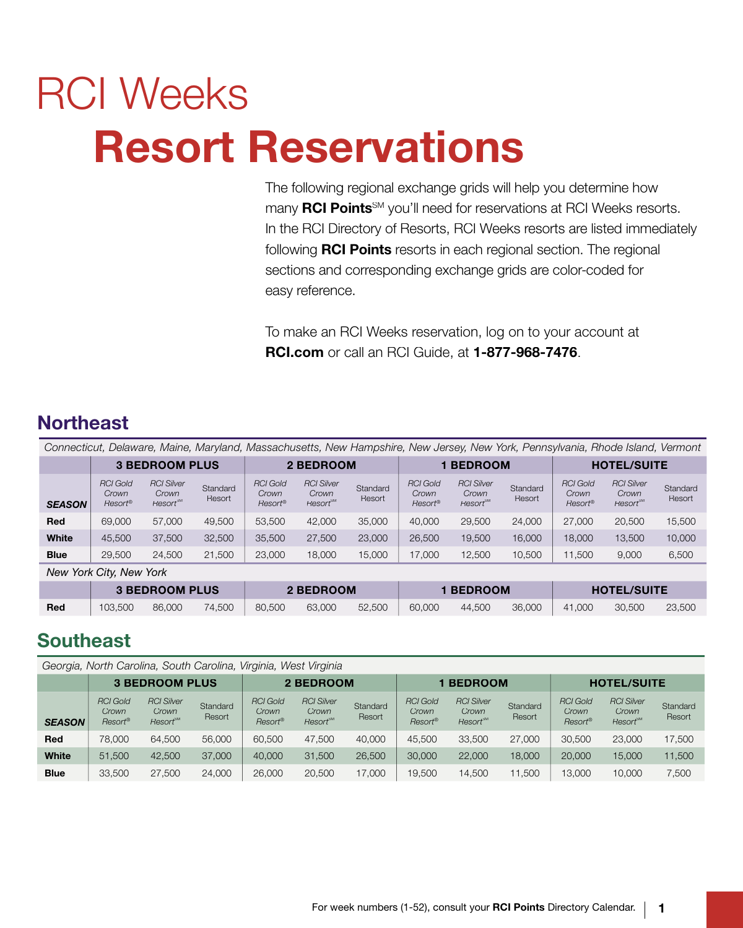# RCI Weeks Resort Reservations

 The following regional exchange grids will help you determine how many **RCI Points**<sup>SM</sup> you'll need for reservations at RCI Weeks resorts. In the RCI Directory of Resorts, RCI Weeks resorts are listed immediately following **RCI Points** resorts in each regional section. The regional sections and corresponding exchange grids are color-coded for easy reference.

 To make an RCI Weeks reservation, log on to your account at RCI.com or call an RCI Guide, at 1-877-968-7476.

## **Northeast**

 *Connecticut, Delaware, Maine, Maryland, Massachusetts, New Hampshire, New Jersey, New York, Pennsylvania, Rhode Island, Vermont*

|               |                                     | <b>3 BEDROOM PLUS</b>                              |                    |                                     | 2 BEDROOM                                         |                    |                                     | <b>BEDROOM</b>                                     |                    |                                     | <b>HOTEL/SUITE</b>                                 |                    |
|---------------|-------------------------------------|----------------------------------------------------|--------------------|-------------------------------------|---------------------------------------------------|--------------------|-------------------------------------|----------------------------------------------------|--------------------|-------------------------------------|----------------------------------------------------|--------------------|
| <b>SEASON</b> | <b>RCI Gold</b><br>Crown<br>Resort® | <b>RCI Silver</b><br>Crown<br>Resort <sup>SM</sup> | Standard<br>Resort | <b>RCI Gold</b><br>Crown<br>Resort® | <b>RCI Silver</b><br>Crown<br>Resort <sup>™</sup> | Standard<br>Resort | <b>RCI Gold</b><br>Crown<br>Resort® | <b>RCI Silver</b><br>Crown<br>Resort <sup>sм</sup> | Standard<br>Resort | <b>RCI Gold</b><br>Crown<br>Resort® | <b>RCI Silver</b><br>Crown<br>Resort <sup>SM</sup> | Standard<br>Resort |
| Red           | 69,000                              | 57,000                                             | 49.500             | 53,500                              | 42,000                                            | 35,000             | 40,000                              | 29,500                                             | 24,000             | 27,000                              | 20,500                                             | 15,500             |
| White         | 45,500                              | 37,500                                             | 32,500             | 35,500                              | 27,500                                            | 23,000             | 26,500                              | 19,500                                             | 16,000             | 18,000                              | 13,500                                             | 10,000             |
| <b>Blue</b>   | 29,500                              | 24,500                                             | 21,500             | 23,000                              | 18,000                                            | 15,000             | 17,000                              | 12,500                                             | 10,500             | 1,500                               | 9,000                                              | 6,500              |
|               | March Vaule Other March Vaule       |                                                    |                    |                                     |                                                   |                    |                                     |                                                    |                    |                                     |                                                    |                    |

*New York City, New York*

|     |         | <b>3 BEDROOM PLUS</b> |                             | 2 BEDROOM |        | <b>1 BEDROOM</b> |  | <b>HOTEL/SUITE</b> |        |
|-----|---------|-----------------------|-----------------------------|-----------|--------|------------------|--|--------------------|--------|
| Red | 103.500 |                       | 86,000 74,500 80,500 63,000 |           | 52.500 |                  |  |                    | 23,500 |

## **Southeast**

|               |                                     | Georgia, North Carolina, South Carolina, Virginia, West Virginia |                    |                                     |                                                    |                    |                                     |                                                    |                    |                                                    |                                                    |                    |
|---------------|-------------------------------------|------------------------------------------------------------------|--------------------|-------------------------------------|----------------------------------------------------|--------------------|-------------------------------------|----------------------------------------------------|--------------------|----------------------------------------------------|----------------------------------------------------|--------------------|
|               |                                     | <b>3 BEDROOM PLUS</b>                                            |                    |                                     | 2 BEDROOM                                          |                    |                                     | <b>BEDROOM</b>                                     |                    |                                                    | <b>HOTEL/SUITE</b>                                 |                    |
| <b>SEASON</b> | <b>RCI Gold</b><br>Crown<br>Resort® | <b>RCI Silver</b><br>Crown<br>Resort <sup>SM</sup>               | Standard<br>Resort | <b>RCI Gold</b><br>Crown<br>Resort® | <b>RCI Silver</b><br>Crown<br>Resort <sup>SM</sup> | Standard<br>Resort | <b>RCI Gold</b><br>Crown<br>Resort® | <b>RCI Silver</b><br>Crown<br>Resort <sup>sM</sup> | Standard<br>Resort | <b>RCI Gold</b><br>Crown<br>$Resort^{\circledast}$ | <b>RCI Silver</b><br>Crown<br>Resort <sup>sM</sup> | Standard<br>Resort |
| Red           | 78,000                              | 64.500                                                           | 56,000             | 60,500                              | 47.500                                             | 40,000             | 45.500                              | 33,500                                             | 27,000             | 30,500                                             | 23,000                                             | 17,500             |
| <b>White</b>  | 51,500                              | 42,500                                                           | 37,000             | 40,000                              | 31,500                                             | 26,500             | 30,000                              | 22,000                                             | 18,000             | 20,000                                             | 15,000                                             | 11,500             |
| <b>Blue</b>   | 33,500                              | 27,500                                                           | 24,000             | 26,000                              | 20,500                                             | 17.000             | 19,500                              | 14,500                                             | 11,500             | 13.000                                             | 10,000                                             | 7,500              |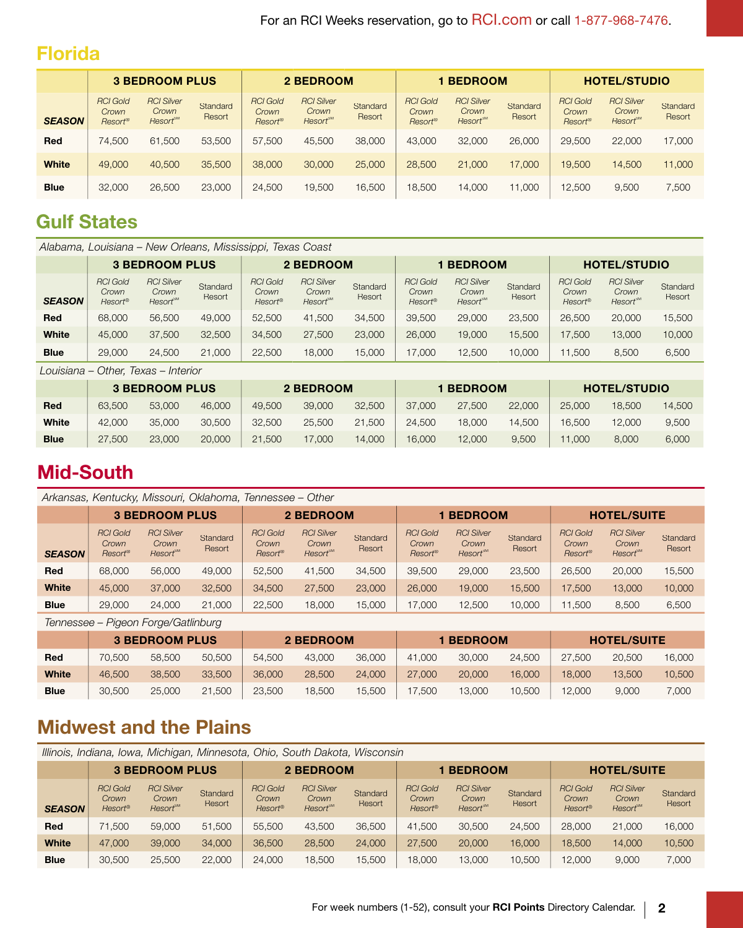#### Florida

|               |                                     | <b>3 BEDROOM PLUS</b>                              |                    |                                     | 2 BEDROOM                                                |                    |                                     | <b>BEDROOM</b>                                    |                    |                                     | <b>HOTEL/STUDIO</b>                                      |                    |
|---------------|-------------------------------------|----------------------------------------------------|--------------------|-------------------------------------|----------------------------------------------------------|--------------------|-------------------------------------|---------------------------------------------------|--------------------|-------------------------------------|----------------------------------------------------------|--------------------|
| <b>SEASON</b> | <b>RCI Gold</b><br>Crown<br>Resort® | <b>RCI Silver</b><br>Crown<br>Resort <sup>sm</sup> | Standard<br>Resort | <b>RCI Gold</b><br>Crown<br>Resort® | <b>RCI Silver</b><br>Crown<br><b>Resort<sup>sM</sup></b> | Standard<br>Resort | <b>RCI Gold</b><br>Crown<br>Resort® | <b>RCI Silver</b><br>Crown<br>Resort <sup>™</sup> | Standard<br>Resort | <b>RCI Gold</b><br>Crown<br>Resort® | <b>RCI Silver</b><br>Crown<br><b>Resort<sup>sM</sup></b> | Standard<br>Resort |
| Red           | 74.500                              | 61,500                                             | 53,500             | 57,500                              | 45,500                                                   | 38,000             | 43,000                              | 32,000                                            | 26,000             | 29,500                              | 22,000                                                   | 17,000             |
| White         | 49,000                              | 40,500                                             | 35,500             | 38,000                              | 30,000                                                   | 25,000             | 28,500                              | 21,000                                            | 17,000             | 19,500                              | 14,500                                                   | 11,000             |
| <b>Blue</b>   | 32,000                              | 26,500                                             | 23,000             | 24,500                              | 19,500                                                   | 16,500             | 18,500                              | 14,000                                            | 11.000             | 12,500                              | 9,500                                                    | 7,500              |

# Gulf States

|               |                                     | Alabama, Louisiana – New Orleans, Mississippi, Texas Coast |                    |                                     |                                                    |                    |                                     |                                                   |                    |                                     |                                                          |                    |
|---------------|-------------------------------------|------------------------------------------------------------|--------------------|-------------------------------------|----------------------------------------------------|--------------------|-------------------------------------|---------------------------------------------------|--------------------|-------------------------------------|----------------------------------------------------------|--------------------|
|               |                                     | <b>3 BEDROOM PLUS</b>                                      |                    |                                     | 2 BEDROOM                                          |                    |                                     | <b>BEDROOM</b>                                    |                    |                                     | <b>HOTEL/STUDIO</b>                                      |                    |
| <b>SEASON</b> | <b>RCI Gold</b><br>Crown<br>Resort® | <b>RCI Silver</b><br>Crown<br>Resort <sup>™</sup>          | Standard<br>Resort | <b>RCI Gold</b><br>Crown<br>Resort® | <b>RCI Silver</b><br>Crown<br>Resort <sup>sM</sup> | Standard<br>Resort | <b>RCI Gold</b><br>Crown<br>Resort® | <b>RCI Silver</b><br>Crown<br>Resort <sup>™</sup> | Standard<br>Resort | <b>RCI Gold</b><br>Crown<br>Resort® | <b>RCI Silver</b><br>Crown<br><b>Resort<sup>sM</sup></b> | Standard<br>Resort |
| Red           | 68,000                              | 56,500                                                     | 49,000             | 52,500                              | 41,500<br>34,500                                   |                    | 39,500                              | 29,000                                            | 23,500             | 26,500                              | 20,000                                                   | 15,500             |
| White         | 45,000                              | 37,500                                                     | 32,500             | 34,500                              | 27,500                                             | 23,000             | 26,000                              | 19,000                                            | 15,500             | 17.500                              | 13,000                                                   | 10,000             |
| <b>Blue</b>   | 29,000                              | 24,500                                                     | 21,000             | 22,500                              | 18,000                                             | 15,000             | 17,000                              | 12,500                                            | 10,000             | 1,500                               | 8,500                                                    | 6,500              |
|               |                                     | Louisiana – Other. Texas – Interior                        |                    |                                     |                                                    |                    |                                     |                                                   |                    |                                     |                                                          |                    |

|             |        | <b>3 BEDROOM PLUS</b> |        |        | 2 BEDROOM |        |        | <b>1 BEDROOM</b> |        |        | <b>HOTEL/STUDIO</b> |        |
|-------------|--------|-----------------------|--------|--------|-----------|--------|--------|------------------|--------|--------|---------------------|--------|
| Red         | 63,500 | 53,000                | 46,000 | 49.500 | 39,000    | 32,500 | 37,000 | 27,500           | 22,000 | 25,000 | 18.500              | 14.500 |
| White       | 42,000 | 35,000                | 30.500 | 32,500 | 25,500    | 21,500 | 24,500 | 18,000           | 14.500 | 16.500 | 12,000              | 9,500  |
| <b>Blue</b> | 27,500 | 23,000                | 20,000 | 21.500 | 17,000    | 14,000 | 16,000 | 12,000           | 9,500  | 1.000  | 8.000               | 6,000  |

## **Mid-South**

|               |                                                 | Arkansas, Kentucky, Missouri, Oklahoma, Tennessee – Other |                    |                                     |                                                    |                    |                                                 |                                                    |                    |                                                    |                                                    |                    |
|---------------|-------------------------------------------------|-----------------------------------------------------------|--------------------|-------------------------------------|----------------------------------------------------|--------------------|-------------------------------------------------|----------------------------------------------------|--------------------|----------------------------------------------------|----------------------------------------------------|--------------------|
|               |                                                 | <b>3 BEDROOM PLUS</b>                                     |                    |                                     | 2 BEDROOM                                          |                    |                                                 | <b>1 BEDROOM</b>                                   |                    |                                                    | <b>HOTEL/SUITE</b>                                 |                    |
| <b>SEASON</b> | <b>RCI Gold</b><br>Crown<br>Resort <sup>®</sup> | <b>RCI Silver</b><br>Crown<br>Resort <sup>SM</sup>        | Standard<br>Resort | <b>RCI Gold</b><br>Crown<br>Resort® | <b>RCI Silver</b><br>Crown<br>Resort <sup>SM</sup> | Standard<br>Resort | <b>RCI Gold</b><br>Crown<br>Resort <sup>®</sup> | <b>RCI Silver</b><br>Crown<br>Resort <sup>sM</sup> | Standard<br>Resort | <b>RCI Gold</b><br>Crown<br>$Resort^{\circledast}$ | <b>RCI Silver</b><br>Crown<br>Resort <sup>SM</sup> | Standard<br>Resort |
| Red           | 68,000                                          | 56,000                                                    | 49,000             | 52,500                              | 41.500                                             | 34,500             | 39,500                                          | 29,000                                             | 23,500             | 26,500                                             | 20,000                                             | 15,500             |
| <b>White</b>  | 45,000                                          | 37,000                                                    | 32,500             | 34,500                              | 27,500                                             | 23,000             | 26,000                                          | 19,000                                             | 15.500             | 17.500                                             | 13,000                                             | 10,000             |
| <b>Blue</b>   | 29,000                                          | 24,000                                                    | 21,000             | 22,500                              | 18.000                                             | 15,000             | 17.000                                          | 12,500                                             | 10,000             | 11.500                                             | 8,500                                              | 6,500              |

 *Tennessee* – *Pigeon Forge/Gatlinburg*

|             |        | <b>3 BEDROOM PLUS</b> |        |        | 2 BEDROOM |        |        | <b>1 BEDROOM</b> |        |        | <b>HOTEL/SUITE</b> |        |
|-------------|--------|-----------------------|--------|--------|-----------|--------|--------|------------------|--------|--------|--------------------|--------|
| Red         | 70.500 | 58,500                | 50,500 | 54,500 | 43,000    | 36,000 | 41.000 | 30,000           | 24,500 | 27,500 | 20,500             | 16,000 |
| White       | 46,500 | 38,500                | 33,500 | 36,000 | 28,500    | 24,000 | 27,000 | 20,000           | 16,000 | 18,000 | 13.500             | 10.500 |
| <b>Blue</b> | 30.500 | 25,000                | 21,500 | 23,500 | 18.500    | 15.500 | 7.500  | 13,000           | 10.500 | 12,000 | 9.000              | 7,000  |

## **Midwest and the Plains**

|               |                                                 | Illinois, Indiana, Iowa, Michigan, Minnesota, Ohio, South Dakota, Wisconsin |                    |                                            |                                              |                    |                                                 |                                                    |                    |                                                 |                                                    |                    |
|---------------|-------------------------------------------------|-----------------------------------------------------------------------------|--------------------|--------------------------------------------|----------------------------------------------|--------------------|-------------------------------------------------|----------------------------------------------------|--------------------|-------------------------------------------------|----------------------------------------------------|--------------------|
|               |                                                 | <b>3 BEDROOM PLUS</b>                                                       |                    |                                            | 2 BEDROOM                                    |                    |                                                 | <b>BEDROOM</b>                                     |                    |                                                 | <b>HOTEL/SUITE</b>                                 |                    |
| <b>SEASON</b> | <b>RCI Gold</b><br>Crown<br>Resort <sup>®</sup> | <b>RCI Silver</b><br>Crown<br>Resort <sup>SM</sup>                          | Standard<br>Resort | <b>RCI Gold</b><br>Crown<br><b>Resort®</b> | <b>RCI Silver</b><br>Crown<br><b>Resort™</b> | Standard<br>Resort | <b>RCI Gold</b><br>Crown<br>Resort <sup>®</sup> | <b>RCI Silver</b><br>Crown<br>Resort <sup>SM</sup> | Standard<br>Resort | <b>RCI Gold</b><br>Crown<br>Resort <sup>®</sup> | <b>RCI Silver</b><br>Crown<br>Resort <sup>sM</sup> | Standard<br>Resort |
| <b>Red</b>    | 71.500                                          | 59,000                                                                      | 51,500             | 55,500                                     | 43.500                                       | 36,500             | 41.500                                          | 30,500                                             | 24,500             | 28,000                                          | 21,000                                             | 16,000             |
| <b>White</b>  | 47,000                                          | 39,000                                                                      | 34,000             | 36,500                                     | 28,500                                       | 24,000             | 27,500                                          | 20,000                                             | 16,000             | 18,500                                          | 14.000                                             | 10,500             |
| <b>Blue</b>   | 30,500                                          | 25,500                                                                      | 22,000             | 24,000                                     | 18,500                                       | 15,500             | 18,000                                          | 13,000                                             | 10,500             | 12.000                                          | 9,000                                              | 7,000              |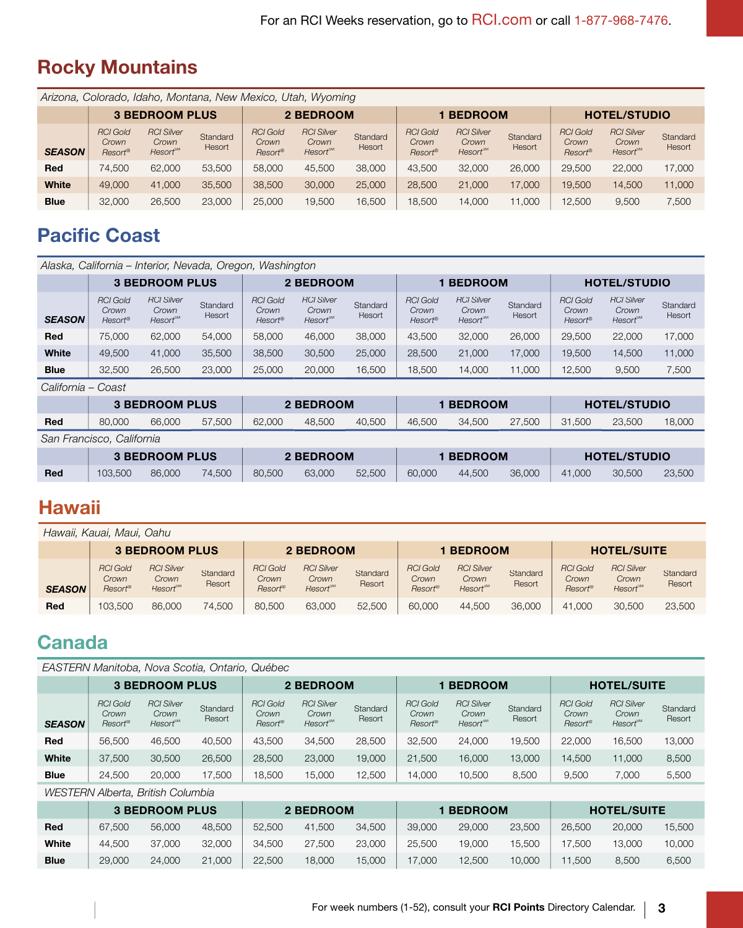# Rocky Mountains

|               |                                                 | Arizona, Colorado, Idaho, Montana, New Mexico, Utah, Wyoming |                    |                                     |                                                    |                    |                                     |                                                    |                    |                                     |                                                   |                    |
|---------------|-------------------------------------------------|--------------------------------------------------------------|--------------------|-------------------------------------|----------------------------------------------------|--------------------|-------------------------------------|----------------------------------------------------|--------------------|-------------------------------------|---------------------------------------------------|--------------------|
|               |                                                 | <b>3 BEDROOM PLUS</b>                                        |                    |                                     | 2 BEDROOM                                          |                    |                                     | <b>BEDROOM</b>                                     |                    |                                     | <b>HOTEL/STUDIO</b>                               |                    |
| <b>SEASON</b> | <b>RCI Gold</b><br>Crown<br>Resort <sup>®</sup> | <b>RCI Silver</b><br>Crown<br><b>Resort™</b>                 | Standard<br>Resort | <b>RCI Gold</b><br>Crown<br>Resort® | <b>RCI Silver</b><br>Crown<br>Resort <sup>SM</sup> | Standard<br>Resort | <b>RCI Gold</b><br>Crown<br>Resort® | <b>RCI Silver</b><br>Crown<br>Resort <sup>SM</sup> | Standard<br>Resort | <b>RCI Gold</b><br>Crown<br>Resort® | <b>RCI Silver</b><br>Crown<br>Resort <sup>™</sup> | Standard<br>Resort |
| Red           | 74.500                                          | 62,000                                                       | 53,500             | 58,000                              | 45,500                                             | 38,000             | 43,500                              | 32,000                                             | 26,000             | 29,500                              | 22,000                                            | 17,000             |
| White         | 49,000                                          | 41,000                                                       | 35,500             | 38,500                              | 30,000                                             | 25,000             | 28,500                              | 21,000                                             | 17,000             | 19.500                              | 14.500                                            | 11.000             |
| <b>Blue</b>   | 32,000                                          | 26,500                                                       | 23,000             | 25.000                              | 19,500                                             | 16,500             | 18,500                              | 14.000                                             | 1.000              | 12,500                              | 9,500                                             | 7,500              |

# **Pacific Coast**

|               |                                     | Alaska, California – Interior, Nevada, Oregon, Washington |                    |                                     |                                                   |                    |                                                 |                                                   |                    |                                     |                                       |                    |
|---------------|-------------------------------------|-----------------------------------------------------------|--------------------|-------------------------------------|---------------------------------------------------|--------------------|-------------------------------------------------|---------------------------------------------------|--------------------|-------------------------------------|---------------------------------------|--------------------|
|               |                                     | <b>3 BEDROOM PLUS</b>                                     |                    |                                     | 2 BEDROOM                                         |                    |                                                 | <b>BEDROOM</b>                                    |                    |                                     | <b>HOTEL/STUDIO</b>                   |                    |
| <b>SEASON</b> | <b>RCI Gold</b><br>Crown<br>Resort® | <b>RCI Silver</b><br>Crown<br>Resort <sup>sm</sup>        | Standard<br>Resort | <b>RCI Gold</b><br>Crown<br>Resort® | <b>RCI Silver</b><br>Crown<br>Resort <sup>™</sup> | Standard<br>Resort | <b>RCI Gold</b><br>Crown<br>Resort <sup>®</sup> | <b>RCI Silver</b><br>Crown<br>Resort <sup>™</sup> | Standard<br>Resort | <b>RCI Gold</b><br>Crown<br>Resort® | <b>RCI Silver</b><br>Crown<br>Resort® | Standard<br>Resort |
| Red           | 75,000                              | 62,000                                                    | 54,000             | 58,000                              | 46,000                                            | 38,000             | 43.500                                          | 32,000                                            | 26,000             | 29,500                              | 22,000                                | 17,000             |
| White         | 49,500                              | 41,000                                                    | 35,500             | 38,500                              | 30,500                                            | 25,000             | 28,500                                          | 21,000                                            | 17,000             | 19,500                              | 14,500                                | 11,000             |
| <b>Blue</b>   | 32,500                              | 26,500                                                    | 23,000             | 25,000                              | 20,000                                            | 16,500             | 18,500                                          | 14,000                                            | 11,000             | 12.500                              | 9.500                                 | 7,500              |

California – Coast

|     |        | <b>3 BEDROOM PLUS</b> |        |        | <b>2 BEDROOM</b> |        |        | <b>BEDROOM</b> |        |        | <b>HOTEL/STUDIO</b> |        |
|-----|--------|-----------------------|--------|--------|------------------|--------|--------|----------------|--------|--------|---------------------|--------|
| Red | 80,000 | 66,000                | 57,500 | 62,000 | 48,500           | 40.500 | 46.500 | 34.500         | 27.500 | 31,500 | 23,500              | 18,000 |

San Francisco, California

|     |         | <b>3 BEDROOM PLUS</b> |        |        | 2 BEDROOM |        |        | <b>1 BEDROOM</b> |        |        | <b>HOTEL/STUDIO</b> |        |
|-----|---------|-----------------------|--------|--------|-----------|--------|--------|------------------|--------|--------|---------------------|--------|
| Red | 103,500 | 86,000                | 74.500 | 80.500 | 63,000    | 52,500 | 60.000 | 44.500           | 36,000 | 41.000 | 30.500              | 23,500 |

## **Hawaii**

|               | Hawaii, Kauai, Maui, Oahu                       |                                                           |                    |                                     |                                                          |                    |                                                 |                                                    |                    |                                                 |                                                           |                    |
|---------------|-------------------------------------------------|-----------------------------------------------------------|--------------------|-------------------------------------|----------------------------------------------------------|--------------------|-------------------------------------------------|----------------------------------------------------|--------------------|-------------------------------------------------|-----------------------------------------------------------|--------------------|
|               |                                                 | <b>3 BEDROOM PLUS</b>                                     |                    |                                     | 2 BEDROOM                                                |                    |                                                 | <b>BEDROOM</b>                                     |                    |                                                 | <b>HOTEL/SUITE</b>                                        |                    |
| <b>SEASON</b> | <b>RCI Gold</b><br>Crown<br>Resort <sup>®</sup> | <b>RCI Silver</b><br>Crown<br>$Resort^{\text{\tiny{SM}}}$ | Standard<br>Resort | <b>RCI Gold</b><br>Crown<br>Resort® | <b>RCI Silver</b><br>Crown<br><b>Resort<sup>sM</sup></b> | Standard<br>Resort | <b>RCI Gold</b><br>Crown<br>Resort <sup>®</sup> | <b>RCI Silver</b><br>Crown<br>Resort <sup>sm</sup> | Standard<br>Resort | <b>RCI Gold</b><br>Crown<br>Resort <sup>®</sup> | <b>RCI Silver</b><br>Crown<br><b>Resort</b> <sup>SM</sup> | Standard<br>Resort |
| Red           | 103.500                                         | 86,000                                                    | 74.500             | 80,500                              | 63,000                                                   | 52,500             | 60,000                                          | 44.500                                             | 36,000             | 41.000                                          | 30,500                                                    | 23,500             |

# **Canada**

|               |                                     | EASTERN Manitoba, Nova Scotia, Ontario, Québec    |                    |                                     |                                                    |                    |                                                 |                                                    |                    |                                     |                                                    |                    |
|---------------|-------------------------------------|---------------------------------------------------|--------------------|-------------------------------------|----------------------------------------------------|--------------------|-------------------------------------------------|----------------------------------------------------|--------------------|-------------------------------------|----------------------------------------------------|--------------------|
|               |                                     | <b>3 BEDROOM PLUS</b>                             |                    |                                     | 2 BEDROOM                                          |                    |                                                 | <b>BEDROOM</b>                                     |                    |                                     | <b>HOTEL/SUITE</b>                                 |                    |
| <b>SEASON</b> | <b>RCI Gold</b><br>Crown<br>Resort® | <b>RCI Silver</b><br>Crown<br>Resort <sup>™</sup> | Standard<br>Resort | <b>RCI Gold</b><br>Crown<br>Resort® | <b>RCI Silver</b><br>Crown<br>Resort <sup>SM</sup> | Standard<br>Resort | <b>RCI Gold</b><br>Crown<br>Resort <sup>®</sup> | <b>RCI Silver</b><br>Crown<br>Resort <sup>SM</sup> | Standard<br>Resort | <b>RCI Gold</b><br>Crown<br>Resort® | <b>RCI Silver</b><br>Crown<br>Resort <sup>SM</sup> | Standard<br>Resort |
| Red           | 56,500                              | 46.500                                            | 40,500             | 43.500                              | 34,500                                             | 28,500             | 32,500                                          | 24,000                                             | 19.500             | 22,000                              | 16,500                                             | 13,000             |
| White         | 37,500                              | 30,500                                            | 26,500             | 28,500                              | 23,000                                             | 19,000             | 21,500                                          | 16,000                                             | 13,000             | 14.500                              | 11,000                                             | 8,500              |
| <b>Blue</b>   | 24.500                              | 20,000                                            | 17,500             | 18,500                              | 15,000                                             | 12,500             | 14,000                                          | 10,500                                             | 8,500              | 9,500                               | 7.000                                              | 5,500              |
|               |                                     | WESTERN Alberta, British Columbia                 |                    |                                     |                                                    |                    |                                                 |                                                    |                    |                                     |                                                    |                    |

|             |        | <b>3 BEDROOM PLUS</b> |        |        | 2 BEDROOM |        |        | <b>BEDROOM</b> |        |        | <b>HOTEL/SUITE</b> |        |
|-------------|--------|-----------------------|--------|--------|-----------|--------|--------|----------------|--------|--------|--------------------|--------|
| Red         | 67.500 | 56,000                | 48.500 | 52,500 | 41.500    | 34.500 | 39,000 | 29,000         | 23,500 | 26,500 | 20,000             | 15.500 |
| White       | 44.500 | 37,000                | 32,000 | 34.500 | 27,500    | 23,000 | 25,500 | 19.000         | 15.500 | 17.500 | 13.000             | 10.000 |
| <b>Blue</b> | 29,000 | 24,000                | 21,000 | 22,500 | 18,000    | 15,000 | 17,000 | 12.500         | 10,000 | 11.500 | 8.500              | 6,500  |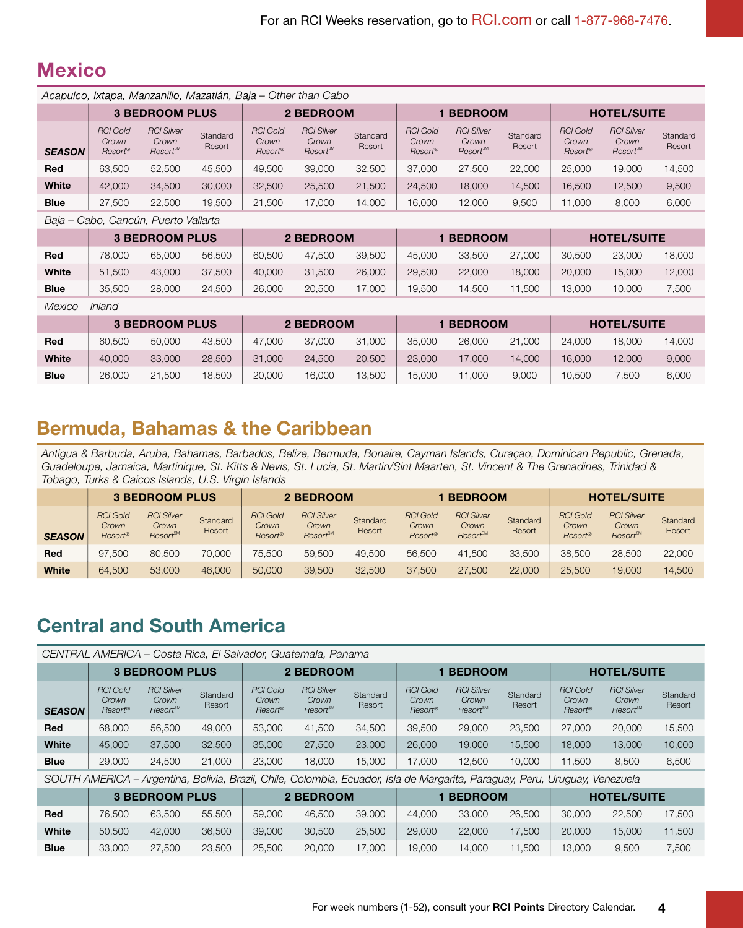#### **Mexico**

|                 |                                     | Acapulco, Ixtapa, Manzanillo, Mazatlán, Baja – Other than Cabo |                    |                                     |                                                    |                    |                                     |                                                    |                    |                                                 |                                                    |                    |
|-----------------|-------------------------------------|----------------------------------------------------------------|--------------------|-------------------------------------|----------------------------------------------------|--------------------|-------------------------------------|----------------------------------------------------|--------------------|-------------------------------------------------|----------------------------------------------------|--------------------|
|                 |                                     | <b>3 BEDROOM PLUS</b>                                          |                    |                                     | 2 BEDROOM                                          |                    |                                     | <b>BEDROOM</b>                                     |                    |                                                 | <b>HOTEL/SUITE</b>                                 |                    |
| <b>SEASON</b>   | <b>RCI Gold</b><br>Crown<br>Resort® | <b>RCI Silver</b><br>Crown<br>Resort <sup>™</sup>              | Standard<br>Resort | <b>RCI Gold</b><br>Crown<br>Resort® | <b>RCI Silver</b><br>Crown<br>Resort <sup>SM</sup> | Standard<br>Resort | <b>RCI Gold</b><br>Crown<br>Resort® | <b>RCI Silver</b><br>Crown<br>Resort <sup>sM</sup> | Standard<br>Resort | <b>RCI Gold</b><br>Crown<br>Resort <sup>®</sup> | <b>RCI Silver</b><br>Crown<br>Resort <sup>sM</sup> | Standard<br>Resort |
| Red             | 63,500                              | 52,500                                                         | 45.500             | 49.500                              | 39,000                                             | 32,500             | 37,000                              | 27,500                                             | 22,000             | 25,000                                          | 19,000                                             | 14,500             |
| White           | 42,000                              | 34,500                                                         | 30,000             | 32,500                              | 25,500                                             | 21,500             | 24,500                              | 18,000                                             | 14,500             | 16,500                                          | 12,500                                             | 9,500              |
| <b>Blue</b>     | 27,500                              | 22,500                                                         | 19,500             | 21,500                              | 17,000                                             | 14,000             | 16,000                              | 12,000                                             | 9,500              | 11.000                                          | 8,000                                              | 6,000              |
| $D \cap i \cap$ |                                     | Cabo Canaún Duarto Vallarto                                    |                    |                                     |                                                    |                    |                                     |                                                    |                    |                                                 |                                                    |                    |

 *Baja* – *Cabo, Cancún, Puerto Vallarta*

|             |        | <b>3 BEDROOM PLUS</b> |        |        | 2 BEDROOM |        |        | <b>BEDROOM</b> |        |        | <b>HOTEL/SUITE</b> |        |
|-------------|--------|-----------------------|--------|--------|-----------|--------|--------|----------------|--------|--------|--------------------|--------|
| Red         | 78,000 | 65,000                | 56,500 | 60,500 | 47.500    | 39,500 | 45,000 | 33,500         | 27,000 | 30,500 | 23.000             | 18,000 |
| White       | 51,500 | 43,000                | 37,500 | 40,000 | 31.500    | 26,000 | 29.500 | 22,000         | 18.000 | 20,000 | 15,000             | 12.000 |
| <b>Blue</b> | 35.500 | 28,000                | 24,500 | 26,000 | 20,500    | 17.000 | 19.500 | 14.500         | .500   | 13.000 | 10.000             | 7,500  |

 *Mexico* – *Inland*

|             |        | <b>3 BEDROOM PLUS</b> |        |        | 2 BEDROOM |        |        | <b>BEDROOM</b> |        |        | <b>HOTEL/SUITE</b> |        |
|-------------|--------|-----------------------|--------|--------|-----------|--------|--------|----------------|--------|--------|--------------------|--------|
| Red         | 60,500 | 50,000                | 43.500 | 47,000 | 37,000    | 31.000 | 35.000 | 26,000         | 21,000 | 24,000 | 18,000             | 14.000 |
| White       | 40,000 | 33,000                | 28,500 | 31,000 | 24,500    | 20,500 | 23,000 | 17.000         | 14.000 | 16,000 | 12,000             | 9,000  |
| <b>Blue</b> | 26,000 | 21,500                | 18.500 | 20,000 | 16.000    | 13,500 | 15.000 | 1.000          | 9,000  | 10.500 | 7.500              | 6,000  |

#### **Bermuda, Bahamas & the Caribbean**

 *Antigua & Barbuda, Aruba, Bahamas, Barbados, Belize, Bermuda, Bonaire, Cayman Islands, Curaçao, Dominican Republic, Grenada, Guadeloupe, Jamaica, Martinique, St. Kitts & Nevis, St. Lucia, St. Martin/Sint Maarten, St. Vincent & The Grenadines, Trinidad & Tobago, Turks & Caicos Islands, U.S. Virgin Islands*

|               |                                                   | <b>3 BEDROOM PLUS</b>                             |                           |                                     | 2 BEDROOM                                    |                    |                                     | <b>BEDROOM</b>                               |                    |                                     | <b>HOTEL/SUITE</b>                                       |                    |
|---------------|---------------------------------------------------|---------------------------------------------------|---------------------------|-------------------------------------|----------------------------------------------|--------------------|-------------------------------------|----------------------------------------------|--------------------|-------------------------------------|----------------------------------------------------------|--------------------|
| <b>SEASON</b> | <b>RCI Gold</b><br>Crown<br>$Resort$ <sup>®</sup> | <b>RCI Silver</b><br>Crown<br>Resort <sup>™</sup> | <b>Standard</b><br>Resort | <b>RCI Gold</b><br>Crown<br>Resort® | <b>RCI Silver</b><br>Crown<br><b>Resort™</b> | Standard<br>Resort | <b>RCI Gold</b><br>Crown<br>Resort® | <b>RCI Silver</b><br>Crown<br><b>Resort®</b> | Standard<br>Resort | <b>RCI Gold</b><br>Crown<br>Resort® | <b>RCI Silver</b><br>Crown<br><b>Resort<sup>sM</sup></b> | Standard<br>Resort |
| Red           | 97,500                                            | 80,500                                            | 70,000                    | 75.500                              | 59,500                                       | 49,500             | 56,500                              | 41.500                                       | 33,500             | 38,500                              | 28,500                                                   | 22,000             |
| White         | 64,500                                            | 53,000                                            | 46,000                    | 50,000                              | 39,500                                       | 32,500             | 37,500                              | 27,500                                       | 22,000             | 25,500                              | 19,000                                                   | 14,500             |

## **Central and South America**

|               |                                     | CENTRAL AMERICA – Costa Rica, El Salvador, Guatemala, Panama                                                                |                    |                                     |                                                    |                    |                                     |                                                    |                    |                                     |                                                    |                    |
|---------------|-------------------------------------|-----------------------------------------------------------------------------------------------------------------------------|--------------------|-------------------------------------|----------------------------------------------------|--------------------|-------------------------------------|----------------------------------------------------|--------------------|-------------------------------------|----------------------------------------------------|--------------------|
|               |                                     | <b>3 BEDROOM PLUS</b>                                                                                                       |                    |                                     | 2 BEDROOM                                          |                    |                                     | <b>BEDROOM</b>                                     |                    |                                     | <b>HOTEL/SUITE</b>                                 |                    |
| <b>SEASON</b> | <b>RCI Gold</b><br>Crown<br>Resort® | <b>RCI Silver</b><br>Crown<br>Resort <sup>™</sup>                                                                           | Standard<br>Resort | <b>RCI Gold</b><br>Crown<br>Resort® | <b>RCI Silver</b><br>Crown<br>Resort <sup>SM</sup> | Standard<br>Resort | <b>RCI Gold</b><br>Crown<br>Resort® | <b>RCI Silver</b><br>Crown<br>Resort <sup>sM</sup> | Standard<br>Resort | <b>RCI Gold</b><br>Crown<br>Resort® | <b>RCI Silver</b><br>Crown<br>Resort <sup>sM</sup> | Standard<br>Resort |
| <b>Red</b>    | 68,000                              | 56,500                                                                                                                      | 49,000             | 53,000                              | 41.500                                             | 34.500             | 39.500                              | 29,000                                             | 23,500             | 27,000                              | 20,000                                             | 15,500             |
| White         | 45,000                              | 37,500                                                                                                                      | 32,500             | 35,000                              | 27,500                                             | 23,000             | 26,000                              | 19,000                                             | 15.500             | 18,000                              | 13,000                                             | 10,000             |
| <b>Blue</b>   | 29,000                              | 24.500                                                                                                                      | 21,000             | 23,000                              | 18,000                                             | 15.000             | 17,000                              | 12,500                                             | 10,000             | 11.500                              | 8.500                                              | 6,500              |
|               |                                     | SOUTH AMERICA - Argentina, Bolivia, Brazil, Chile, Colombia, Ecuador, Isla de Margarita, Paraguay, Peru, Uruguay, Venezuela |                    |                                     |                                                    |                    |                                     |                                                    |                    |                                     |                                                    |                    |

|             |        | <b>3 BEDROOM PLUS</b> |        |        | 2 BEDROOM |        |        | <b>BEDROOM</b> |        |        | <b>HOTEL/SUITE</b> |        |
|-------------|--------|-----------------------|--------|--------|-----------|--------|--------|----------------|--------|--------|--------------------|--------|
| Red         | 76.500 | 63.500                | 55,500 | 59,000 | 46.500    | 39,000 | 44.000 | 33,000         | 26,500 | 30,000 | 22,500             | 17.500 |
| White       | 50.500 | 42.000                | 36,500 | 39,000 | 30,500    | 25.500 | 29,000 | 22,000         | 17.500 | 20,000 | 15,000             | 11.500 |
| <b>Blue</b> | 33,000 | 27,500                | 23,500 | 25,500 | 20,000    | 17,000 | 19,000 | 14.000         | 11,500 | 13,000 | 9.500              | 7,500  |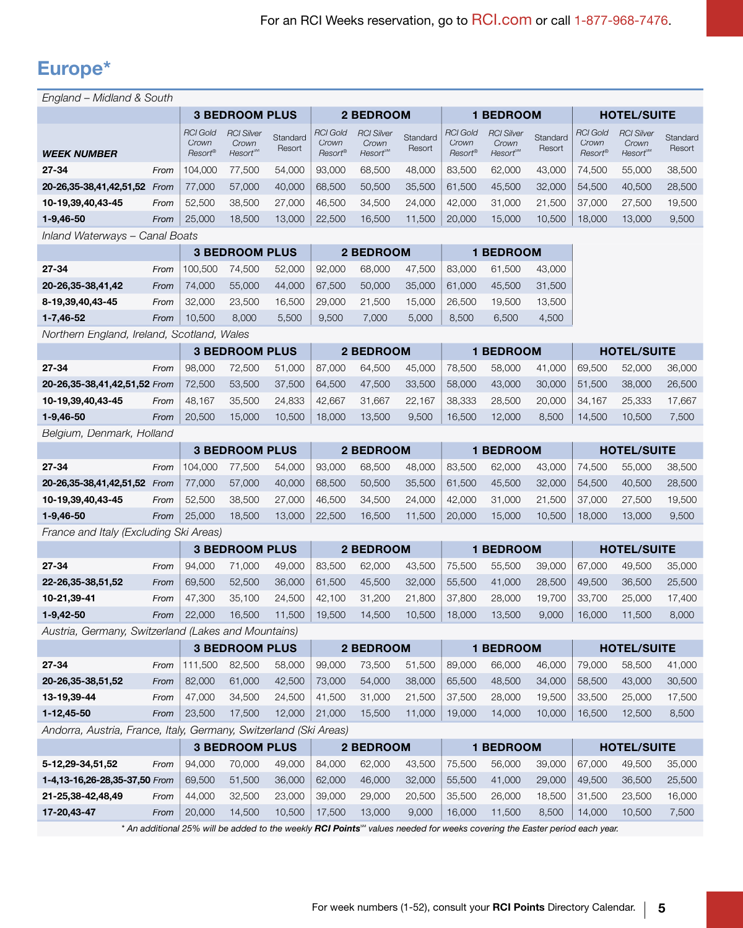# Europe\*

| England – Midland & South                                         |      |                                     |                                              |                    |                                            |                                                   |                    |                                     |                                                                                                                                        |                    |                                            |                                                    |                    |
|-------------------------------------------------------------------|------|-------------------------------------|----------------------------------------------|--------------------|--------------------------------------------|---------------------------------------------------|--------------------|-------------------------------------|----------------------------------------------------------------------------------------------------------------------------------------|--------------------|--------------------------------------------|----------------------------------------------------|--------------------|
|                                                                   |      |                                     | <b>3 BEDROOM PLUS</b>                        |                    |                                            | 2 BEDROOM                                         |                    |                                     | <b>1 BEDROOM</b>                                                                                                                       |                    |                                            | <b>HOTEL/SUITE</b>                                 |                    |
| <b>WEEK NUMBER</b>                                                |      | <b>RCI Gold</b><br>Crown<br>Resort® | <b>RCI Silver</b><br>Crown<br><b>Resort®</b> | Standard<br>Resort | <b>RCI Gold</b><br>Crown<br><b>Resort®</b> | <b>RCI Silver</b><br>Crown<br>Resort <sup>™</sup> | Standard<br>Resort | <b>RCI Gold</b><br>Crown<br>Resort® | <b>RCI Silver</b><br>Crown<br>Resort <sup>™</sup>                                                                                      | Standard<br>Resort | <b>RCI Gold</b><br>Crown<br><b>Resort®</b> | <b>RCI Silver</b><br>Crown<br>Resort <sup>sM</sup> | Standard<br>Resort |
| 27-34                                                             | From | 104,000                             | 77.500                                       | 54,000             | 93,000                                     | 68,500                                            | 48,000             | 83,500                              | 62.000                                                                                                                                 | 43,000             | 74,500                                     | 55,000                                             | 38,500             |
| 20-26,35-38,41,42,51,52                                           | From | 77,000                              | 57,000                                       | 40,000             | 68,500                                     | 50,500                                            | 35,500             | 61,500                              | 45,500                                                                                                                                 | 32,000             | 54,500                                     | 40,500                                             | 28,500             |
| 10-19,39,40,43-45                                                 | From | 52,500                              | 38,500                                       | 27,000             | 46,500                                     | 34,500                                            | 24,000             | 42,000                              | 31,000                                                                                                                                 | 21,500             | 37,000                                     | 27,500                                             | 19,500             |
| 1-9,46-50                                                         | From | 25,000                              | 18,500                                       | 13,000             | 22,500                                     | 16,500                                            | 11,500             | 20,000                              | 15,000                                                                                                                                 | 10,500             | 18,000                                     | 13,000                                             | 9,500              |
| Inland Waterways - Canal Boats                                    |      |                                     |                                              |                    |                                            |                                                   |                    |                                     |                                                                                                                                        |                    |                                            |                                                    |                    |
|                                                                   |      |                                     | <b>3 BEDROOM PLUS</b>                        |                    |                                            | 2 BEDROOM                                         |                    |                                     | <b>1 BEDROOM</b>                                                                                                                       |                    |                                            |                                                    |                    |
| $27 - 34$                                                         | From | 100,500                             | 74,500                                       | 52,000             | 92,000                                     | 68,000                                            | 47,500             | 83,000                              | 61,500                                                                                                                                 | 43,000             |                                            |                                                    |                    |
| 20-26,35-38,41,42                                                 | From | 74,000                              | 55,000                                       | 44,000             | 67,500                                     | 50,000                                            | 35,000             | 61,000                              | 45,500                                                                                                                                 | 31,500             |                                            |                                                    |                    |
| 8-19,39,40,43-45                                                  | From | 32,000                              | 23,500                                       | 16,500             | 29,000                                     | 21,500                                            | 15,000             | 26,500                              | 19,500                                                                                                                                 | 13,500             |                                            |                                                    |                    |
| $1 - 7,46 - 52$                                                   | From | 10,500                              | 8,000                                        | 5,500              | 9,500                                      | 7,000                                             | 5,000              | 8,500                               | 6,500                                                                                                                                  | 4,500              |                                            |                                                    |                    |
| Northern England, Ireland, Scotland, Wales                        |      |                                     |                                              |                    |                                            |                                                   |                    |                                     |                                                                                                                                        |                    |                                            |                                                    |                    |
|                                                                   |      |                                     | <b>3 BEDROOM PLUS</b>                        |                    |                                            | 2 BEDROOM                                         |                    |                                     | <b>1 BEDROOM</b>                                                                                                                       |                    |                                            | <b>HOTEL/SUITE</b>                                 |                    |
| $27 - 34$                                                         | From | 98,000                              | 72,500                                       | 51,000             | 87,000                                     | 64,500                                            | 45,000             | 78,500                              | 58,000                                                                                                                                 | 41,000             | 69,500                                     | 52,000                                             | 36,000             |
| 20-26,35-38,41,42,51,52 From                                      |      | 72,500                              | 53,500                                       | 37,500             | 64,500                                     | 47,500                                            | 33,500             | 58,000                              | 43,000                                                                                                                                 | 30,000             | 51,500                                     | 38,000                                             | 26,500             |
| 10-19,39,40,43-45                                                 | From | 48,167                              | 35,500                                       | 24,833             | 42,667                                     | 31,667                                            | 22,167             | 38,333                              | 28,500                                                                                                                                 | 20,000             | 34,167                                     | 25,333                                             | 17,667             |
| $1-9,46-50$                                                       | From | 20,500                              | 15,000                                       | 10,500             | 18,000                                     | 13,500                                            | 9,500              | 16,500                              | 12,000                                                                                                                                 | 8,500              | 14,500                                     | 10,500                                             | 7,500              |
| Belgium, Denmark, Holland                                         |      |                                     |                                              |                    |                                            |                                                   |                    |                                     |                                                                                                                                        |                    |                                            |                                                    |                    |
|                                                                   |      |                                     | <b>3 BEDROOM PLUS</b>                        |                    |                                            | 2 BEDROOM                                         |                    |                                     | <b>1 BEDROOM</b>                                                                                                                       |                    |                                            | <b>HOTEL/SUITE</b>                                 |                    |
| $27 - 34$                                                         | From | 104,000                             | 77,500                                       | 54,000             | 93,000                                     | 68,500                                            | 48,000             | 83,500                              | 62,000                                                                                                                                 | 43,000             | 74,500                                     | 55,000                                             | 38,500             |
| 20-26,35-38,41,42,51,52 From                                      |      | 77,000                              | 57,000                                       | 40,000             | 68,500                                     | 50,500                                            | 35,500             | 61,500                              | 45,500                                                                                                                                 | 32,000             | 54,500                                     | 40,500                                             | 28,500             |
| 10-19,39,40,43-45                                                 | From | 52,500                              | 38,500                                       | 27,000             | 46,500                                     | 34,500                                            | 24,000             | 42,000                              | 31,000                                                                                                                                 | 21,500             | 37,000                                     | 27,500                                             | 19,500             |
| $1-9,46-50$                                                       | From | 25,000                              | 18,500                                       | 13,000             | 22,500                                     | 16,500                                            | 11,500             | 20,000                              | 15,000                                                                                                                                 | 10,500             | 18,000                                     | 13,000                                             | 9,500              |
| France and Italy (Excluding Ski Areas)                            |      |                                     |                                              |                    |                                            |                                                   |                    |                                     |                                                                                                                                        |                    |                                            |                                                    |                    |
|                                                                   |      |                                     | <b>3 BEDROOM PLUS</b>                        |                    |                                            | 2 BEDROOM                                         |                    |                                     | <b>1 BEDROOM</b>                                                                                                                       |                    |                                            | <b>HOTEL/SUITE</b>                                 |                    |
| $27 - 34$                                                         | From | 94,000                              | 71,000                                       | 49,000             | 83,500                                     | 62,000                                            | 43,500             | 75,500                              | 55,500                                                                                                                                 | 39,000             | 67,000                                     | 49,500                                             | 35,000             |
| 22-26,35-38,51,52                                                 | From | 69,500                              | 52,500                                       | 36,000             | 61,500                                     | 45,500                                            | 32,000             | 55,500                              | 41,000                                                                                                                                 | 28,500             | 49,500                                     | 36,500                                             | 25,500             |
| 10-21,39-41                                                       | From | 47,300                              | 35,100                                       | 24,500             | 42,100                                     | 31,200                                            | 21,800             | 37,800                              | 28,000                                                                                                                                 | 19,700             | 33,700                                     | 25,000                                             | 17,400             |
| $1-9,42-50$                                                       | From | 22,000                              | 16,500                                       | 11,500             | 19,500                                     | 14,500                                            | 10,500             | 18,000                              | 13,500                                                                                                                                 | 9,000              | 16,000                                     | 11,500                                             | 8,000              |
| Austria, Germany, Switzerland (Lakes and Mountains)               |      |                                     |                                              |                    |                                            |                                                   |                    |                                     |                                                                                                                                        |                    |                                            |                                                    |                    |
|                                                                   |      |                                     | <b>3 BEDROOM PLUS</b>                        |                    |                                            | 2 BEDROOM                                         |                    |                                     | <b>1 BEDROOM</b>                                                                                                                       |                    |                                            | <b>HOTEL/SUITE</b>                                 |                    |
| $27 - 34$                                                         | From |                                     | 111,500 82,500                               | 58,000             | 99,000                                     | 73,500                                            | 51,500             | 89,000                              | 66,000                                                                                                                                 | 46,000             | 79,000                                     | 58,500                                             | 41,000             |
| 20-26,35-38,51,52                                                 | From | 82,000                              | 61,000                                       | 42,500             | 73,000                                     | 54,000                                            | 38,000             | 65,500                              | 48,500                                                                                                                                 | 34,000             | 58,500                                     | 43,000                                             | 30,500             |
| 13-19,39-44                                                       | From | 47,000                              | 34,500                                       | 24,500             | 41,500                                     | 31,000                                            | 21,500             | 37,500                              | 28,000                                                                                                                                 | 19,500             | 33,500                                     | 25,000                                             | 17,500             |
| 1-12,45-50                                                        | From | 23,500                              | 17,500                                       | 12,000             | 21,000                                     | 15,500                                            | 11,000             | 19,000                              | 14,000                                                                                                                                 | 10,000             | 16,500                                     | 12,500                                             | 8,500              |
| Andorra, Austria, France, Italy, Germany, Switzerland (Ski Areas) |      |                                     |                                              |                    |                                            |                                                   |                    |                                     |                                                                                                                                        |                    |                                            |                                                    |                    |
|                                                                   |      |                                     | <b>3 BEDROOM PLUS</b>                        |                    |                                            | 2 BEDROOM                                         |                    |                                     | 1 BEDROOM                                                                                                                              |                    |                                            | <b>HOTEL/SUITE</b>                                 |                    |
| 5-12,29-34,51,52                                                  | From | 94,000                              | 70,000                                       | 49,000             | 84,000                                     | 62,000                                            | 43,500             | 75,500                              | 56,000                                                                                                                                 | 39,000             | 67,000                                     | 49,500                                             | 35,000             |
| 1-4,13-16,26-28,35-37,50 From                                     |      | 69,500                              | 51,500                                       | 36,000             | 62,000                                     | 46,000                                            | 32,000             | 55,500                              | 41,000                                                                                                                                 | 29,000             | 49,500                                     | 36,500                                             | 25,500             |
| 21-25,38-42,48,49                                                 | From | 44,000                              | 32,500                                       | 23,000             | 39,000                                     | 29,000                                            | 20,500             | 35,500                              | 26,000                                                                                                                                 | 18,500             | 31,500                                     | 23,500                                             | 16,000             |
| 17-20,43-47                                                       | From | 20,000                              | 14,500                                       | 10,500             | 17,500                                     | 13,000                                            | 9,000              | 16,000                              | 11,500                                                                                                                                 | 8,500              | 14,000                                     | 10,500                                             | 7,500              |
|                                                                   |      |                                     |                                              |                    |                                            |                                                   |                    |                                     | * An additional 25% will be added to the weekly RCI Points <sup>ad</sup> values needed for weeks covering the Easter period each year. |                    |                                            |                                                    |                    |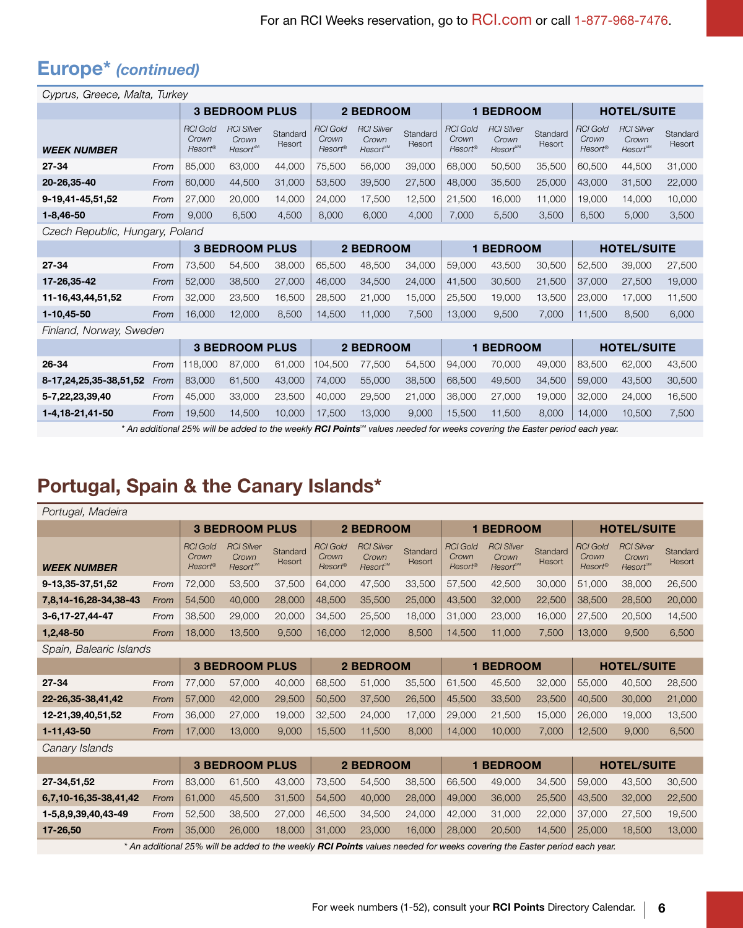# Europe\* (continued)

| Cyprus, Greece, Malta, Turkey |                                 |                                            |                                                          |                    |                                     |                                                    |                    |                                     |                                                         |                    |                                     |                                                    |                    |
|-------------------------------|---------------------------------|--------------------------------------------|----------------------------------------------------------|--------------------|-------------------------------------|----------------------------------------------------|--------------------|-------------------------------------|---------------------------------------------------------|--------------------|-------------------------------------|----------------------------------------------------|--------------------|
|                               |                                 |                                            | <b>3 BEDROOM PLUS</b>                                    |                    |                                     | <b>2 BEDROOM</b>                                   |                    |                                     | <b>1 BEDROOM</b>                                        |                    |                                     | <b>HOTEL/SUITE</b>                                 |                    |
| <b>WEEK NUMBER</b>            |                                 | <b>RCI Gold</b><br>Crown<br><b>Resort®</b> | <b>RCI Silver</b><br>Crown<br><b>Resort<sup>®M</sup></b> | Standard<br>Resort | <b>RCI Gold</b><br>Crown<br>Resort® | <b>RCI Silver</b><br>Crown<br>Resort <sup>sM</sup> | Standard<br>Resort | <b>RCI Gold</b><br>Crown<br>Resort® | <b>RCI Silver</b><br>Crown<br><b>Resort<sup>™</sup></b> | Standard<br>Resort | <b>RCI Gold</b><br>Crown<br>Resort® | <b>RCI Silver</b><br>Crown<br>Resort <sup>sM</sup> | Standard<br>Resort |
| $27 - 34$                     | From                            | 85,000                                     | 63,000                                                   | 44,000             | 75,500                              | 56,000                                             | 39,000             | 68,000                              | 50,500                                                  | 35,500             | 60,500                              | 44,500                                             | 31,000             |
| 20-26,35-40                   | From                            | 60,000                                     | 44,500                                                   | 31,000             | 53,500                              | 39,500                                             | 27,500             | 48,000                              | 35,500                                                  | 25,000             | 43,000                              | 31,500                                             | 22,000             |
| 9-19.41-45,51,52              | From                            | 27,000                                     | 20,000                                                   | 14,000             | 24,000                              | 17,500                                             | 12,500             | 21,500                              | 16,000                                                  | 11,000             | 19,000                              | 14,000                                             | 10,000             |
| $1 - 8,46 - 50$               | From                            | 9,000                                      | 6,500                                                    | 4,500              | 8,000                               | 6,000                                              | 4,000              | 7,000                               | 5,500                                                   | 3,500              | 6,500                               | 5,000                                              | 3,500              |
|                               | Czech Republic, Hungary, Poland |                                            |                                                          |                    |                                     |                                                    |                    |                                     |                                                         |                    |                                     |                                                    |                    |
|                               |                                 |                                            | <b>3 BEDROOM PLUS</b>                                    |                    |                                     | 2 BEDROOM                                          |                    |                                     | <b>1 BEDROOM</b>                                        |                    |                                     | <b>HOTEL/SUITE</b>                                 |                    |
| 27-34                         | From                            | 73,500                                     | 54,500                                                   | 38,000             | 65,500                              | 48,500                                             | 34,000             | 59,000                              | 43,500                                                  | 30,500             | 52,500                              | 39,000                                             | 27,500             |
| 17-26,35-42                   | From                            | 52,000                                     | 38,500                                                   | 27,000             | 46,000                              | 34,500                                             | 24,000             | 41,500                              | 30,500                                                  | 21,500             | 37,000                              | 27,500                                             | 19,000             |
| 11-16,43,44,51,52             | From                            | 32,000                                     | 23,500                                                   | 16,500             | 28,500                              | 21,000                                             | 15,000             | 25,500                              | 19,000                                                  | 13,500             | 23,000                              | 17,000                                             | 11,500             |
| 1-10,45-50                    | From                            | 16,000                                     | 12,000                                                   | 8,500              | 14,500                              | 11,000                                             | 7,500              | 13,000                              | 9,500                                                   | 7,000              | 11,500                              | 8,500                                              | 6,000              |
| Finland, Norway, Sweden       |                                 |                                            |                                                          |                    |                                     |                                                    |                    |                                     |                                                         |                    |                                     |                                                    |                    |
|                               | <b>3 BEDROOM PLUS</b>           |                                            |                                                          |                    |                                     |                                                    | <b>2 BEDROOM</b>   |                                     | <b>1 BEDROOM</b>                                        |                    |                                     | <b>HOTEL/SUITE</b>                                 |                    |
| 26-34                         | From                            | 118,000                                    | 87,000                                                   | 61,000             | 104,500                             | 77,500                                             | 54,500             | 94,000                              | 70,000                                                  | 49,000             | 83,500                              | 62,000                                             | 43,500             |
| 8-17,24,25,35-38,51,52        | From                            | 83,000                                     | 61,500                                                   | 43,000             | 74,000                              | 55,000                                             | 38,500             | 66,500                              | 49,500                                                  | 34,500             | 59,000                              | 43,500                                             | 30,500             |
| 5-7,22,23,39,40               | From                            | 45,000                                     | 33,000                                                   | 23,500             | 40,000                              | 29,500                                             | 21,000             | 36,000                              | 27,000                                                  | 19,000             | 32,000                              | 24,000                                             | 16,500             |

**1-4,18-21,41-50** From 19,500 14,500 10,000 17,500 13,000 9,000 15,500 11,500 8,000 14,000 10,500 7,500 \* An additional 25% will be added to the weekly RCI Points<sup>®</sup> values needed for weeks covering the Easter period each year.

#### Portugal, Spain & the Canary Islands\*

| Portugal, Madeira       |      |                                     |                                                    |                    |                                     |                                                                                                                          |                    |                                        |                                              |                    |                                     |                                                    |                    |
|-------------------------|------|-------------------------------------|----------------------------------------------------|--------------------|-------------------------------------|--------------------------------------------------------------------------------------------------------------------------|--------------------|----------------------------------------|----------------------------------------------|--------------------|-------------------------------------|----------------------------------------------------|--------------------|
|                         |      |                                     | <b>3 BEDROOM PLUS</b>                              |                    |                                     | 2 BEDROOM                                                                                                                |                    |                                        | <b>1 BEDROOM</b>                             |                    |                                     | <b>HOTEL/SUITE</b>                                 |                    |
| <b>WEEK NUMBER</b>      |      | <b>RCI Gold</b><br>Crown<br>Resort® | <b>RCI Silver</b><br>Crown<br>Resort <sup>sM</sup> | Standard<br>Resort | <b>RCI Gold</b><br>Crown<br>Resort® | <b>RCI Silver</b><br>Crown<br>Resort <sup>™</sup>                                                                        | Standard<br>Resort | <b>RCI Gold</b><br>Crown<br>$Resort^*$ | <b>RCI Silver</b><br>Crown<br><b>Resort™</b> | Standard<br>Resort | <b>RCI Gold</b><br>Crown<br>Resort® | <b>RCI Silver</b><br>Crown<br>Resort <sup>SM</sup> | Standard<br>Resort |
| 9-13,35-37,51,52        | From | 72,000                              | 53,500                                             | 37,500             | 64,000                              | 47,500                                                                                                                   | 33,500             | 57,500                                 | 42,500                                       | 30,000             | 51,000                              | 38,000                                             | 26,500             |
| 7,8,14-16,28-34,38-43   | From | 54,500                              | 40,000                                             | 28,000             | 48,500                              | 35,500                                                                                                                   | 25,000             | 43,500                                 | 32,000                                       | 22,500             | 38,500                              | 28,500                                             | 20,000             |
| 3-6, 17-27, 44-47       | From | 38.500                              | 29,000                                             | 20,000             | 34,500                              | 25.500                                                                                                                   | 18,000             | 31.000                                 | 23,000                                       | 16,000             | 27,500                              | 20,500                                             | 14,500             |
| 1,2,48-50               | From | 18,000                              | 13,500                                             | 9,500              | 16,000                              | 12,000                                                                                                                   | 8,500              | 14,500                                 | 11,000                                       | 7,500              | 13,000                              | 9,500                                              | 6,500              |
| Spain, Balearic Islands |      |                                     |                                                    |                    |                                     |                                                                                                                          |                    |                                        |                                              |                    |                                     |                                                    |                    |
|                         |      | <b>3 BEDROOM PLUS</b>               |                                                    |                    | 2 BEDROOM                           |                                                                                                                          |                    | <b>1 BEDROOM</b>                       |                                              |                    | <b>HOTEL/SUITE</b>                  |                                                    |                    |
| $27 - 34$               | From | 77,000                              | 57,000                                             | 40,000             | 68,500                              | 51,000                                                                                                                   | 35,500             | 61,500                                 | 45,500                                       | 32,000             | 55,000                              | 40,500                                             | 28,500             |
| 22-26,35-38,41,42       | From | 57,000                              | 42,000                                             | 29,500             | 50,500                              | 37,500                                                                                                                   | 26,500             | 45,500                                 | 33,500                                       | 23,500             | 40,500                              | 30,000                                             | 21,000             |
| 12-21,39,40,51,52       | From | 36,000                              | 27,000                                             | 19,000             | 32,500                              | 24,000                                                                                                                   | 17,000             | 29,000                                 | 21,500                                       | 15,000             | 26,000                              | 19,000                                             | 13,500             |
| $1 - 11,43 - 50$        | From | 17,000                              | 13,000                                             | 9,000              | 15,500                              | 11,500                                                                                                                   | 8,000              | 14,000                                 | 10,000                                       | 7,000              | 12,500                              | 9,000                                              | 6,500              |
| Canary Islands          |      |                                     |                                                    |                    |                                     |                                                                                                                          |                    |                                        |                                              |                    |                                     |                                                    |                    |
|                         |      |                                     | <b>3 BEDROOM PLUS</b>                              |                    |                                     | 2 BEDROOM                                                                                                                |                    |                                        | <b>1 BEDROOM</b>                             |                    |                                     | <b>HOTEL/SUITE</b>                                 |                    |
| 27-34,51,52             | From | 83.000                              | 61,500                                             | 43,000             | 73,500                              | 54.500                                                                                                                   | 38,500             | 66.500                                 | 49,000                                       | 34.500             | 59,000                              | 43,500                                             | 30,500             |
| 6,7,10-16,35-38,41,42   | From | 61,000                              | 45,500                                             | 31,500             | 54,500                              | 40,000                                                                                                                   | 28,000             | 49,000                                 | 36,000                                       | 25,500             | 43,500                              | 32,000                                             | 22,500             |
| 1-5,8,9,39,40,43-49     | From | 52,500                              | 38,500                                             | 27,000             | 46,500                              | 34.500                                                                                                                   | 24,000             | 42,000                                 | 31,000                                       | 22,000             | 37,000                              | 27,500                                             | 19,500             |
| 17-26,50                | From | 35,000                              | 26,000                                             | 18,000             | 31,000                              | 23,000                                                                                                                   | 16,000             | 28,000                                 | 20,500                                       | 14,500             | 25,000                              | 18,500                                             | 13,000             |
|                         |      |                                     |                                                    |                    |                                     | * An additional 25% will be added to the weekly RCI Points values needed for weeks covering the Easter period each year. |                    |                                        |                                              |                    |                                     |                                                    |                    |